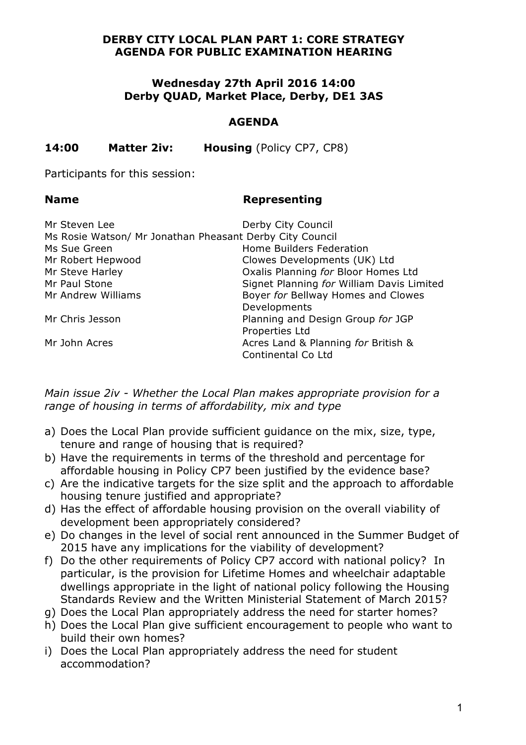## **DERBY CITY LOCAL PLAN PART 1: CORE STRATEGY AGENDA FOR PUBLIC EXAMINATION HEARING**

## **Wednesday 27th April 2016 14:00 Derby QUAD, Market Place, Derby, DE1 3AS**

### **AGENDA**

**14:00 Matter 2iv: Housing** (Policy CP7, CP8)

Participants for this session:

### **Name Representing**

| Mr Steven Lee                                            | Derby City Council                        |
|----------------------------------------------------------|-------------------------------------------|
| Ms Rosie Watson/ Mr Jonathan Pheasant Derby City Council |                                           |
| Ms Sue Green                                             | Home Builders Federation                  |
| Mr Robert Hepwood                                        | Clowes Developments (UK) Ltd              |
| Mr Steve Harley                                          | Oxalis Planning for Bloor Homes Ltd       |
| Mr Paul Stone                                            | Signet Planning for William Davis Limited |
| Mr Andrew Williams                                       | Boyer for Bellway Homes and Clowes        |
|                                                          | Developments                              |
| Mr Chris Jesson                                          | Planning and Design Group for JGP         |
|                                                          | Properties Ltd                            |
| Mr John Acres                                            | Acres Land & Planning for British &       |
|                                                          | Continental Co Ltd                        |

*Main issue 2iv - Whether the Local Plan makes appropriate provision for a range of housing in terms of affordability, mix and type* 

- a) Does the Local Plan provide sufficient guidance on the mix, size, type, tenure and range of housing that is required?
- b) Have the requirements in terms of the threshold and percentage for affordable housing in Policy CP7 been justified by the evidence base?
- c) Are the indicative targets for the size split and the approach to affordable housing tenure justified and appropriate?
- d) Has the effect of affordable housing provision on the overall viability of development been appropriately considered?
- e) Do changes in the level of social rent announced in the Summer Budget of 2015 have any implications for the viability of development?
- f) Do the other requirements of Policy CP7 accord with national policy? In particular, is the provision for Lifetime Homes and wheelchair adaptable dwellings appropriate in the light of national policy following the Housing Standards Review and the Written Ministerial Statement of March 2015?
- g) Does the Local Plan appropriately address the need for starter homes?
- h) Does the Local Plan give sufficient encouragement to people who want to build their own homes?
- i) Does the Local Plan appropriately address the need for student accommodation?